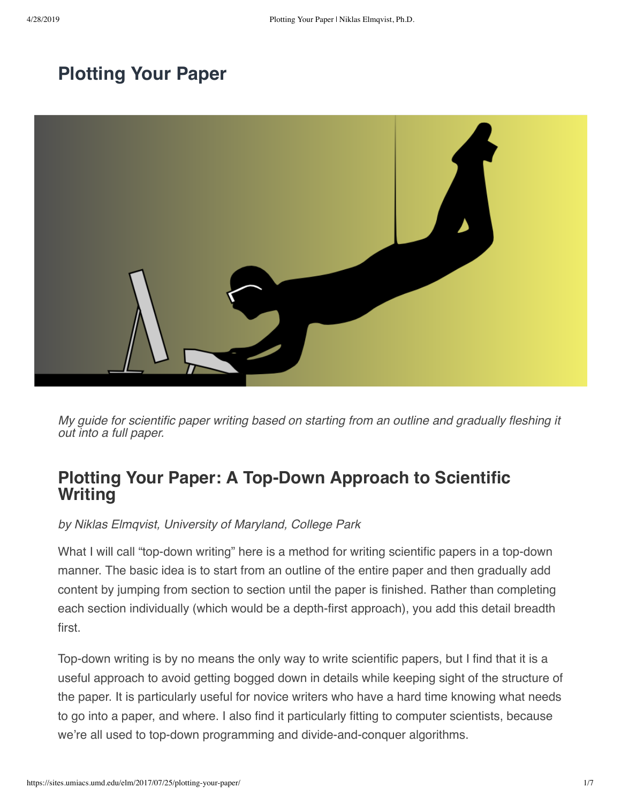# **[Plotting Your Paper](https://sites.umiacs.umd.edu/elm/2017/07/25/plotting-your-paper/)**



*My guide for scientific paper writing based on starting from an outline and gradually fleshing it out into a full paper.*

# **Plotting Your Paper: A Top-Down Approach to Scientific Writing**

*by Niklas Elmqvist, University of Maryland, College Park*

What I will call "top-down writing" here is a method for writing scientific papers in a top-down manner. The basic idea is to start from an outline of the entire paper and then gradually add content by jumping from section to section until the paper is finished. Rather than completing each section individually (which would be a depth-first approach), you add this detail breadth first.

Top-down writing is by no means the only way to write scientific papers, but I find that it is a useful approach to avoid getting bogged down in details while keeping sight of the structure of the paper. It is particularly useful for novice writers who have a hard time knowing what needs to go into a paper, and where. I also find it particularly fitting to computer scientists, because we're all used to top-down programming and divide-and-conquer algorithms.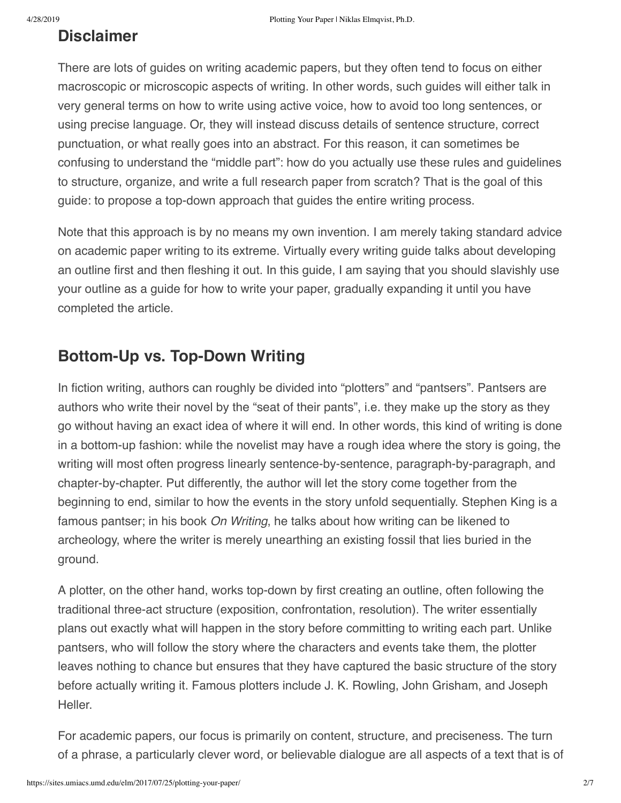# **Disclaimer**

There are lots of guides on writing academic papers, but they often tend to focus on either macroscopic or microscopic aspects of writing. In other words, such guides will either talk in very general terms on how to write using active voice, how to avoid too long sentences, or using precise language. Or, they will instead discuss details of sentence structure, correct punctuation, or what really goes into an abstract. For this reason, it can sometimes be confusing to understand the "middle part": how do you actually use these rules and guidelines to structure, organize, and write a full research paper from scratch? That is the goal of this guide: to propose a top-down approach that guides the entire writing process.

Note that this approach is by no means my own invention. I am merely taking standard advice on academic paper writing to its extreme. Virtually every writing guide talks about developing an outline first and then fleshing it out. In this guide, I am saying that you should slavishly use your outline as a guide for how to write your paper, gradually expanding it until you have completed the article.

# **Bottom-Up vs. Top-Down Writing**

In fiction writing, authors can roughly be divided into "plotters" and "pantsers". Pantsers are authors who write their novel by the "seat of their pants", i.e. they make up the story as they go without having an exact idea of where it will end. In other words, this kind of writing is done in a bottom-up fashion: while the novelist may have a rough idea where the story is going, the writing will most often progress linearly sentence-by-sentence, paragraph-by-paragraph, and chapter-by-chapter. Put differently, the author will let the story come together from the beginning to end, similar to how the events in the story unfold sequentially. Stephen King is a famous pantser; in his book *On Writing*, he talks about how writing can be likened to archeology, where the writer is merely unearthing an existing fossil that lies buried in the ground.

A plotter, on the other hand, works top-down by first creating an outline, often following the traditional three-act structure (exposition, confrontation, resolution). The writer essentially plans out exactly what will happen in the story before committing to writing each part. Unlike pantsers, who will follow the story where the characters and events take them, the plotter leaves nothing to chance but ensures that they have captured the basic structure of the story before actually writing it. Famous plotters include J. K. Rowling, John Grisham, and Joseph Heller.

For academic papers, our focus is primarily on content, structure, and preciseness. The turn of a phrase, a particularly clever word, or believable dialogue are all aspects of a text that is of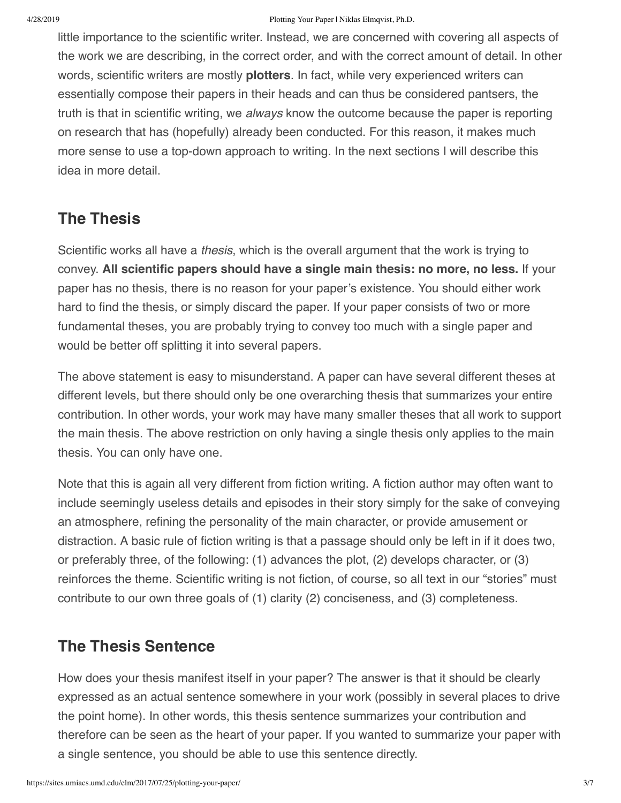#### 4/28/2019 Plotting Your Paper | Niklas Elmqvist, Ph.D.

little importance to the scientific writer. Instead, we are concerned with covering all aspects of the work we are describing, in the correct order, and with the correct amount of detail. In other words, scientific writers are mostly **plotters**. In fact, while very experienced writers can essentially compose their papers in their heads and can thus be considered pantsers, the truth is that in scientific writing, we *always* know the outcome because the paper is reporting on research that has (hopefully) already been conducted. For this reason, it makes much more sense to use a top-down approach to writing. In the next sections I will describe this idea in more detail.

#### **The Thesis**

Scientific works all have a *thesis*, which is the overall argument that the work is trying to convey. **All scientific papers should have a single main thesis: no more, no less.** If your paper has no thesis, there is no reason for your paper's existence. You should either work hard to find the thesis, or simply discard the paper. If your paper consists of two or more fundamental theses, you are probably trying to convey too much with a single paper and would be better off splitting it into several papers.

The above statement is easy to misunderstand. A paper can have several different theses at different levels, but there should only be one overarching thesis that summarizes your entire contribution. In other words, your work may have many smaller theses that all work to support the main thesis. The above restriction on only having a single thesis only applies to the main thesis. You can only have one.

Note that this is again all very different from fiction writing. A fiction author may often want to include seemingly useless details and episodes in their story simply for the sake of conveying an atmosphere, refining the personality of the main character, or provide amusement or distraction. A basic rule of fiction writing is that a passage should only be left in if it does two, or preferably three, of the following: (1) advances the plot, (2) develops character, or (3) reinforces the theme. Scientific writing is not fiction, of course, so all text in our "stories" must contribute to our own three goals of (1) clarity (2) conciseness, and (3) completeness.

#### **The Thesis Sentence**

How does your thesis manifest itself in your paper? The answer is that it should be clearly expressed as an actual sentence somewhere in your work (possibly in several places to drive the point home). In other words, this thesis sentence summarizes your contribution and therefore can be seen as the heart of your paper. If you wanted to summarize your paper with a single sentence, you should be able to use this sentence directly.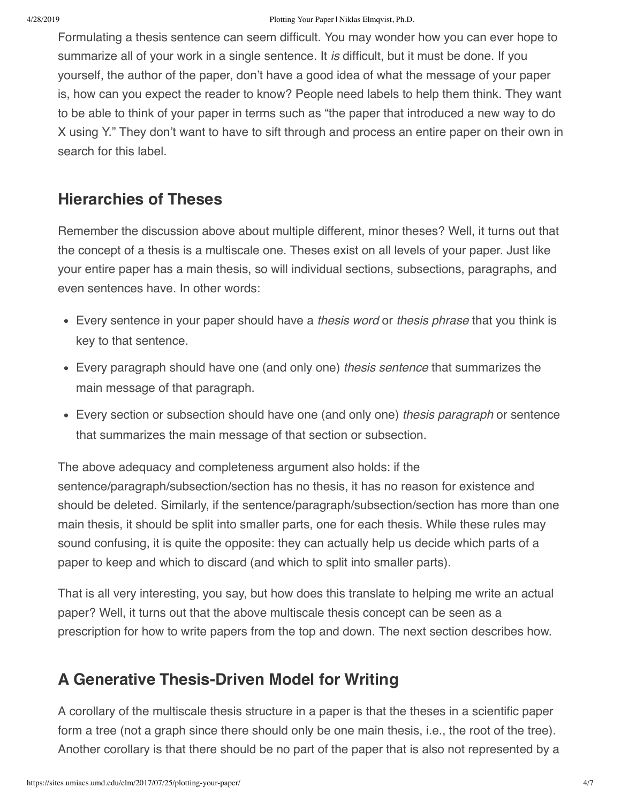Formulating a thesis sentence can seem difficult. You may wonder how you can ever hope to summarize all of your work in a single sentence. It *is* difficult, but it must be done. If you yourself, the author of the paper, don't have a good idea of what the message of your paper is, how can you expect the reader to know? People need labels to help them think. They want to be able to think of your paper in terms such as "the paper that introduced a new way to do X using Y." They don't want to have to sift through and process an entire paper on their own in search for this label.

## **Hierarchies of Theses**

Remember the discussion above about multiple different, minor theses? Well, it turns out that the concept of a thesis is a multiscale one. Theses exist on all levels of your paper. Just like your entire paper has a main thesis, so will individual sections, subsections, paragraphs, and even sentences have. In other words:

- Every sentence in your paper should have a *thesis word* or *thesis phrase* that you think is key to that sentence.
- Every paragraph should have one (and only one) *thesis sentence* that summarizes the main message of that paragraph.
- Every section or subsection should have one (and only one) *thesis paragraph* or sentence that summarizes the main message of that section or subsection.

The above adequacy and completeness argument also holds: if the sentence/paragraph/subsection/section has no thesis, it has no reason for existence and should be deleted. Similarly, if the sentence/paragraph/subsection/section has more than one main thesis, it should be split into smaller parts, one for each thesis. While these rules may sound confusing, it is quite the opposite: they can actually help us decide which parts of a paper to keep and which to discard (and which to split into smaller parts).

That is all very interesting, you say, but how does this translate to helping me write an actual paper? Well, it turns out that the above multiscale thesis concept can be seen as a prescription for how to write papers from the top and down. The next section describes how.

# **A Generative Thesis-Driven Model for Writing**

A corollary of the multiscale thesis structure in a paper is that the theses in a scientific paper form a tree (not a graph since there should only be one main thesis, i.e., the root of the tree). Another corollary is that there should be no part of the paper that is also not represented by a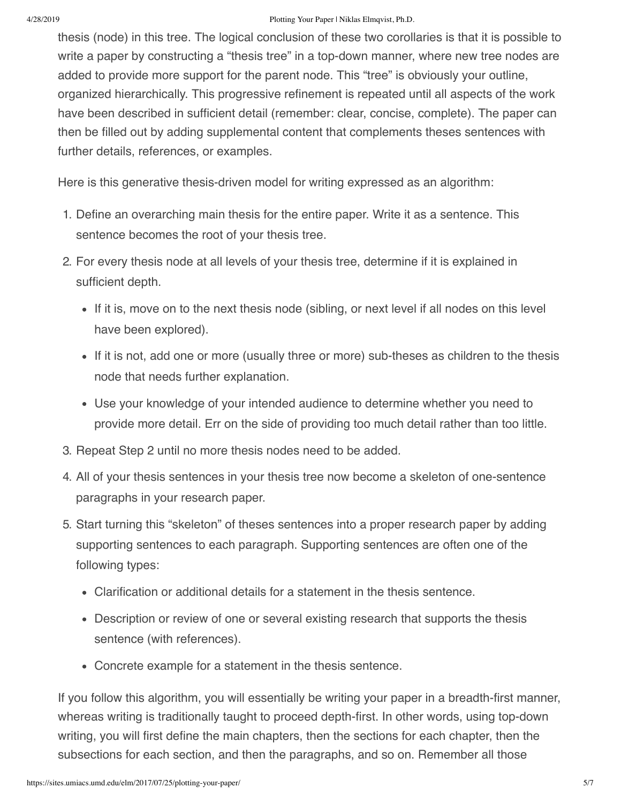#### 4/28/2019 Plotting Your Paper | Niklas Elmqvist, Ph.D.

thesis (node) in this tree. The logical conclusion of these two corollaries is that it is possible to write a paper by constructing a "thesis tree" in a top-down manner, where new tree nodes are added to provide more support for the parent node. This "tree" is obviously your outline, organized hierarchically. This progressive refinement is repeated until all aspects of the work have been described in sufficient detail (remember: clear, concise, complete). The paper can then be filled out by adding supplemental content that complements theses sentences with further details, references, or examples.

Here is this generative thesis-driven model for writing expressed as an algorithm:

- 1. Define an overarching main thesis for the entire paper. Write it as a sentence. This sentence becomes the root of your thesis tree.
- 2. For every thesis node at all levels of your thesis tree, determine if it is explained in sufficient depth.
	- If it is, move on to the next thesis node (sibling, or next level if all nodes on this level have been explored).
	- If it is not, add one or more (usually three or more) sub-theses as children to the thesis node that needs further explanation.
	- Use your knowledge of your intended audience to determine whether you need to provide more detail. Err on the side of providing too much detail rather than too little.
- 3. Repeat Step 2 until no more thesis nodes need to be added.
- 4. All of your thesis sentences in your thesis tree now become a skeleton of one-sentence paragraphs in your research paper.
- 5. Start turning this "skeleton" of theses sentences into a proper research paper by adding supporting sentences to each paragraph. Supporting sentences are often one of the following types:
	- Clarification or additional details for a statement in the thesis sentence.
	- Description or review of one or several existing research that supports the thesis sentence (with references).
	- Concrete example for a statement in the thesis sentence.

If you follow this algorithm, you will essentially be writing your paper in a breadth-first manner, whereas writing is traditionally taught to proceed depth-first. In other words, using top-down writing, you will first define the main chapters, then the sections for each chapter, then the subsections for each section, and then the paragraphs, and so on. Remember all those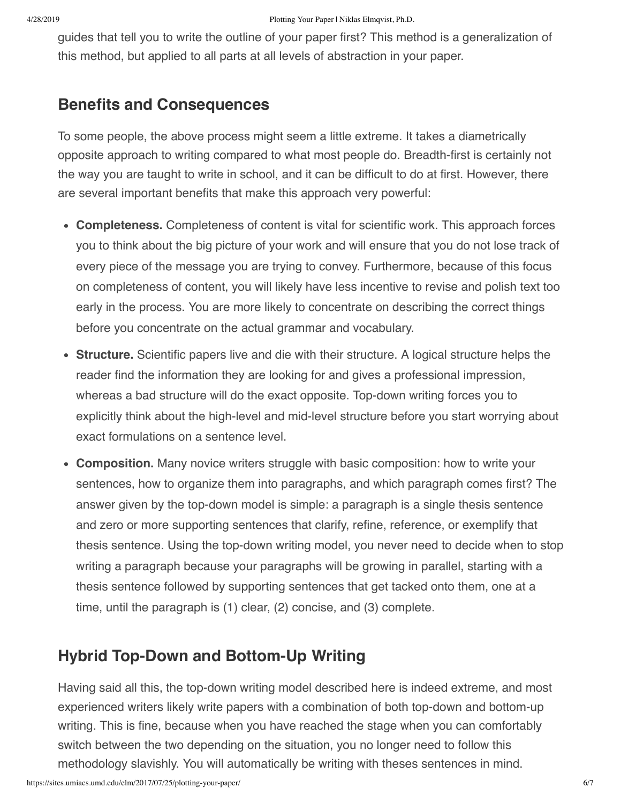guides that tell you to write the outline of your paper first? This method is a generalization of this method, but applied to all parts at all levels of abstraction in your paper.

### **Benefits and Consequences**

To some people, the above process might seem a little extreme. It takes a diametrically opposite approach to writing compared to what most people do. Breadth-first is certainly not the way you are taught to write in school, and it can be difficult to do at first. However, there are several important benefits that make this approach very powerful:

- **Completeness.** Completeness of content is vital for scientific work. This approach forces you to think about the big picture of your work and will ensure that you do not lose track of every piece of the message you are trying to convey. Furthermore, because of this focus on completeness of content, you will likely have less incentive to revise and polish text too early in the process. You are more likely to concentrate on describing the correct things before you concentrate on the actual grammar and vocabulary.
- **Structure.** Scientific papers live and die with their structure. A logical structure helps the reader find the information they are looking for and gives a professional impression, whereas a bad structure will do the exact opposite. Top-down writing forces you to explicitly think about the high-level and mid-level structure before you start worrying about exact formulations on a sentence level.
- **Composition.** Many novice writers struggle with basic composition: how to write your sentences, how to organize them into paragraphs, and which paragraph comes first? The answer given by the top-down model is simple: a paragraph is a single thesis sentence and zero or more supporting sentences that clarify, refine, reference, or exemplify that thesis sentence. Using the top-down writing model, you never need to decide when to stop writing a paragraph because your paragraphs will be growing in parallel, starting with a thesis sentence followed by supporting sentences that get tacked onto them, one at a time, until the paragraph is (1) clear, (2) concise, and (3) complete.

### **Hybrid Top-Down and Bottom-Up Writing**

Having said all this, the top-down writing model described here is indeed extreme, and most experienced writers likely write papers with a combination of both top-down and bottom-up writing. This is fine, because when you have reached the stage when you can comfortably switch between the two depending on the situation, you no longer need to follow this methodology slavishly. You will automatically be writing with theses sentences in mind.